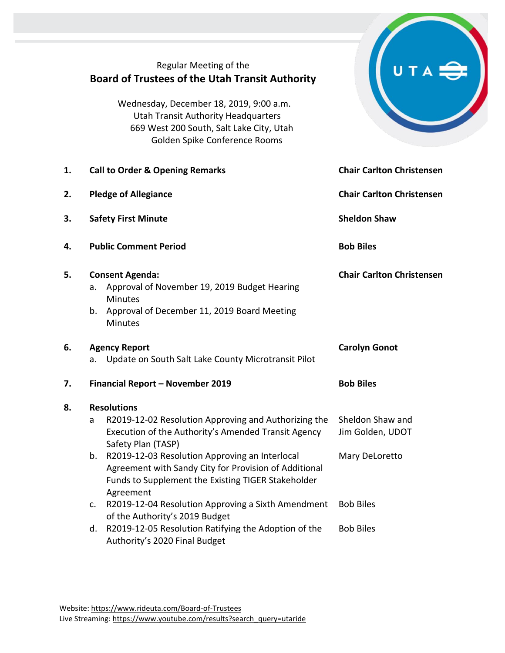|    | Regular Meeting of the<br><b>Board of Trustees of the Utah Transit Authority</b><br>Wednesday, December 18, 2019, 9:00 a.m.<br><b>Utah Transit Authority Headquarters</b><br>669 West 200 South, Salt Lake City, Utah<br>Golden Spike Conference Rooms |                                      |  |
|----|--------------------------------------------------------------------------------------------------------------------------------------------------------------------------------------------------------------------------------------------------------|--------------------------------------|--|
| 1. | <b>Call to Order &amp; Opening Remarks</b>                                                                                                                                                                                                             | <b>Chair Carlton Christensen</b>     |  |
| 2. | <b>Pledge of Allegiance</b>                                                                                                                                                                                                                            | <b>Chair Carlton Christensen</b>     |  |
| 3. | <b>Safety First Minute</b>                                                                                                                                                                                                                             | <b>Sheldon Shaw</b>                  |  |
| 4. | <b>Public Comment Period</b>                                                                                                                                                                                                                           | <b>Bob Biles</b>                     |  |
| 5. | <b>Consent Agenda:</b><br>Approval of November 19, 2019 Budget Hearing<br>a.<br><b>Minutes</b><br>Approval of December 11, 2019 Board Meeting<br>b.<br><b>Minutes</b>                                                                                  | <b>Chair Carlton Christensen</b>     |  |
| 6. | <b>Agency Report</b><br>Update on South Salt Lake County Microtransit Pilot<br>a.                                                                                                                                                                      | <b>Carolyn Gonot</b>                 |  |
| 7. | Financial Report - November 2019                                                                                                                                                                                                                       | <b>Bob Biles</b>                     |  |
| 8. | <b>Resolutions</b><br>R2019-12-02 Resolution Approving and Authorizing the<br>a<br>Execution of the Authority's Amended Transit Agency<br>Safety Plan (TASP)                                                                                           | Sheldon Shaw and<br>Jim Golden, UDOT |  |
|    | R2019-12-03 Resolution Approving an Interlocal<br>b.<br>Agreement with Sandy City for Provision of Additional<br>Funds to Supplement the Existing TIGER Stakeholder<br>Agreement                                                                       | Mary DeLoretto                       |  |
|    | R2019-12-04 Resolution Approving a Sixth Amendment<br>$\mathsf{C}$ .<br>of the Authority's 2019 Budget                                                                                                                                                 | <b>Bob Biles</b>                     |  |
|    | R2019-12-05 Resolution Ratifying the Adoption of the<br>d.<br>Authority's 2020 Final Budget                                                                                                                                                            | <b>Bob Biles</b>                     |  |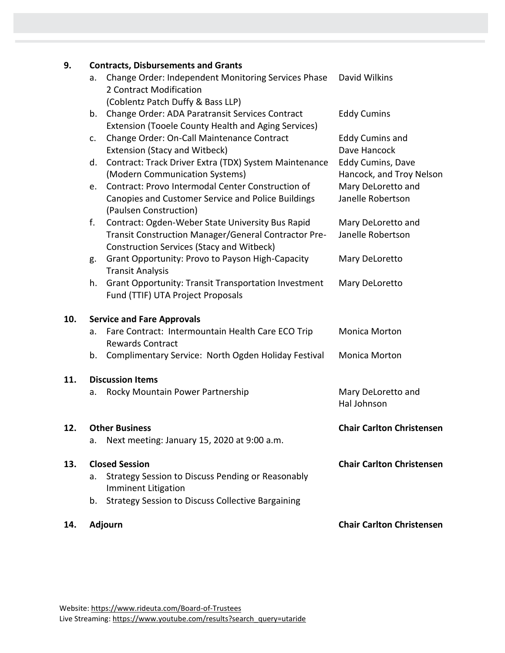## **9. Contracts, Disbursements and Grants**

|                                   | acco, Disputscritches and Oran                              |                                                                                                                                                                                                                                                                                                                                                                                                                                                                                                                                                                                                                                                                                                                                                                                                                                                                                                    |
|-----------------------------------|-------------------------------------------------------------|----------------------------------------------------------------------------------------------------------------------------------------------------------------------------------------------------------------------------------------------------------------------------------------------------------------------------------------------------------------------------------------------------------------------------------------------------------------------------------------------------------------------------------------------------------------------------------------------------------------------------------------------------------------------------------------------------------------------------------------------------------------------------------------------------------------------------------------------------------------------------------------------------|
| а.                                | Change Order: Independent Monitoring Services Phase         | David Wilkins                                                                                                                                                                                                                                                                                                                                                                                                                                                                                                                                                                                                                                                                                                                                                                                                                                                                                      |
|                                   |                                                             |                                                                                                                                                                                                                                                                                                                                                                                                                                                                                                                                                                                                                                                                                                                                                                                                                                                                                                    |
| b.                                |                                                             | <b>Eddy Cumins</b>                                                                                                                                                                                                                                                                                                                                                                                                                                                                                                                                                                                                                                                                                                                                                                                                                                                                                 |
|                                   |                                                             |                                                                                                                                                                                                                                                                                                                                                                                                                                                                                                                                                                                                                                                                                                                                                                                                                                                                                                    |
| c.                                |                                                             | <b>Eddy Cumins and</b>                                                                                                                                                                                                                                                                                                                                                                                                                                                                                                                                                                                                                                                                                                                                                                                                                                                                             |
|                                   |                                                             | Dave Hancock                                                                                                                                                                                                                                                                                                                                                                                                                                                                                                                                                                                                                                                                                                                                                                                                                                                                                       |
|                                   |                                                             | <b>Eddy Cumins, Dave</b>                                                                                                                                                                                                                                                                                                                                                                                                                                                                                                                                                                                                                                                                                                                                                                                                                                                                           |
|                                   |                                                             | Hancock, and Troy Nelson                                                                                                                                                                                                                                                                                                                                                                                                                                                                                                                                                                                                                                                                                                                                                                                                                                                                           |
| e.                                | Contract: Provo Intermodal Center Construction of           | Mary DeLoretto and                                                                                                                                                                                                                                                                                                                                                                                                                                                                                                                                                                                                                                                                                                                                                                                                                                                                                 |
|                                   |                                                             | Janelle Robertson                                                                                                                                                                                                                                                                                                                                                                                                                                                                                                                                                                                                                                                                                                                                                                                                                                                                                  |
|                                   |                                                             |                                                                                                                                                                                                                                                                                                                                                                                                                                                                                                                                                                                                                                                                                                                                                                                                                                                                                                    |
| f.                                |                                                             | Mary DeLoretto and                                                                                                                                                                                                                                                                                                                                                                                                                                                                                                                                                                                                                                                                                                                                                                                                                                                                                 |
|                                   |                                                             | Janelle Robertson                                                                                                                                                                                                                                                                                                                                                                                                                                                                                                                                                                                                                                                                                                                                                                                                                                                                                  |
|                                   |                                                             |                                                                                                                                                                                                                                                                                                                                                                                                                                                                                                                                                                                                                                                                                                                                                                                                                                                                                                    |
| g.                                |                                                             | Mary DeLoretto                                                                                                                                                                                                                                                                                                                                                                                                                                                                                                                                                                                                                                                                                                                                                                                                                                                                                     |
|                                   | <b>Transit Analysis</b>                                     |                                                                                                                                                                                                                                                                                                                                                                                                                                                                                                                                                                                                                                                                                                                                                                                                                                                                                                    |
| h.                                | <b>Grant Opportunity: Transit Transportation Investment</b> | Mary DeLoretto                                                                                                                                                                                                                                                                                                                                                                                                                                                                                                                                                                                                                                                                                                                                                                                                                                                                                     |
|                                   | Fund (TTIF) UTA Project Proposals                           |                                                                                                                                                                                                                                                                                                                                                                                                                                                                                                                                                                                                                                                                                                                                                                                                                                                                                                    |
| <b>Service and Fare Approvals</b> |                                                             |                                                                                                                                                                                                                                                                                                                                                                                                                                                                                                                                                                                                                                                                                                                                                                                                                                                                                                    |
| a.                                | Fare Contract: Intermountain Health Care ECO Trip           | <b>Monica Morton</b>                                                                                                                                                                                                                                                                                                                                                                                                                                                                                                                                                                                                                                                                                                                                                                                                                                                                               |
|                                   | <b>Rewards Contract</b>                                     |                                                                                                                                                                                                                                                                                                                                                                                                                                                                                                                                                                                                                                                                                                                                                                                                                                                                                                    |
| b.                                | Complimentary Service: North Ogden Holiday Festival         | <b>Monica Morton</b>                                                                                                                                                                                                                                                                                                                                                                                                                                                                                                                                                                                                                                                                                                                                                                                                                                                                               |
|                                   |                                                             |                                                                                                                                                                                                                                                                                                                                                                                                                                                                                                                                                                                                                                                                                                                                                                                                                                                                                                    |
| a.                                | Rocky Mountain Power Partnership                            | Mary DeLoretto and                                                                                                                                                                                                                                                                                                                                                                                                                                                                                                                                                                                                                                                                                                                                                                                                                                                                                 |
|                                   |                                                             | Hal Johnson                                                                                                                                                                                                                                                                                                                                                                                                                                                                                                                                                                                                                                                                                                                                                                                                                                                                                        |
|                                   |                                                             | <b>Chair Carlton Christensen</b>                                                                                                                                                                                                                                                                                                                                                                                                                                                                                                                                                                                                                                                                                                                                                                                                                                                                   |
| а.                                | Next meeting: January 15, 2020 at 9:00 a.m.                 |                                                                                                                                                                                                                                                                                                                                                                                                                                                                                                                                                                                                                                                                                                                                                                                                                                                                                                    |
|                                   |                                                             |                                                                                                                                                                                                                                                                                                                                                                                                                                                                                                                                                                                                                                                                                                                                                                                                                                                                                                    |
|                                   |                                                             | <b>Chair Carlton Christensen</b>                                                                                                                                                                                                                                                                                                                                                                                                                                                                                                                                                                                                                                                                                                                                                                                                                                                                   |
| a.                                |                                                             |                                                                                                                                                                                                                                                                                                                                                                                                                                                                                                                                                                                                                                                                                                                                                                                                                                                                                                    |
|                                   |                                                             |                                                                                                                                                                                                                                                                                                                                                                                                                                                                                                                                                                                                                                                                                                                                                                                                                                                                                                    |
|                                   |                                                             |                                                                                                                                                                                                                                                                                                                                                                                                                                                                                                                                                                                                                                                                                                                                                                                                                                                                                                    |
|                                   |                                                             | <b>Chair Carlton Christensen</b>                                                                                                                                                                                                                                                                                                                                                                                                                                                                                                                                                                                                                                                                                                                                                                                                                                                                   |
|                                   | d.<br>b.                                                    | 2 Contract Modification<br>(Coblentz Patch Duffy & Bass LLP)<br>Change Order: ADA Paratransit Services Contract<br>Extension (Tooele County Health and Aging Services)<br>Change Order: On-Call Maintenance Contract<br>Extension (Stacy and Witbeck)<br>Contract: Track Driver Extra (TDX) System Maintenance<br>(Modern Communication Systems)<br>Canopies and Customer Service and Police Buildings<br>(Paulsen Construction)<br>Contract: Ogden-Weber State University Bus Rapid<br>Transit Construction Manager/General Contractor Pre-<br><b>Construction Services (Stacy and Witbeck)</b><br>Grant Opportunity: Provo to Payson High-Capacity<br><b>Discussion Items</b><br><b>Other Business</b><br><b>Closed Session</b><br>Strategy Session to Discuss Pending or Reasonably<br><b>Imminent Litigation</b><br><b>Strategy Session to Discuss Collective Bargaining</b><br><b>Adjourn</b> |